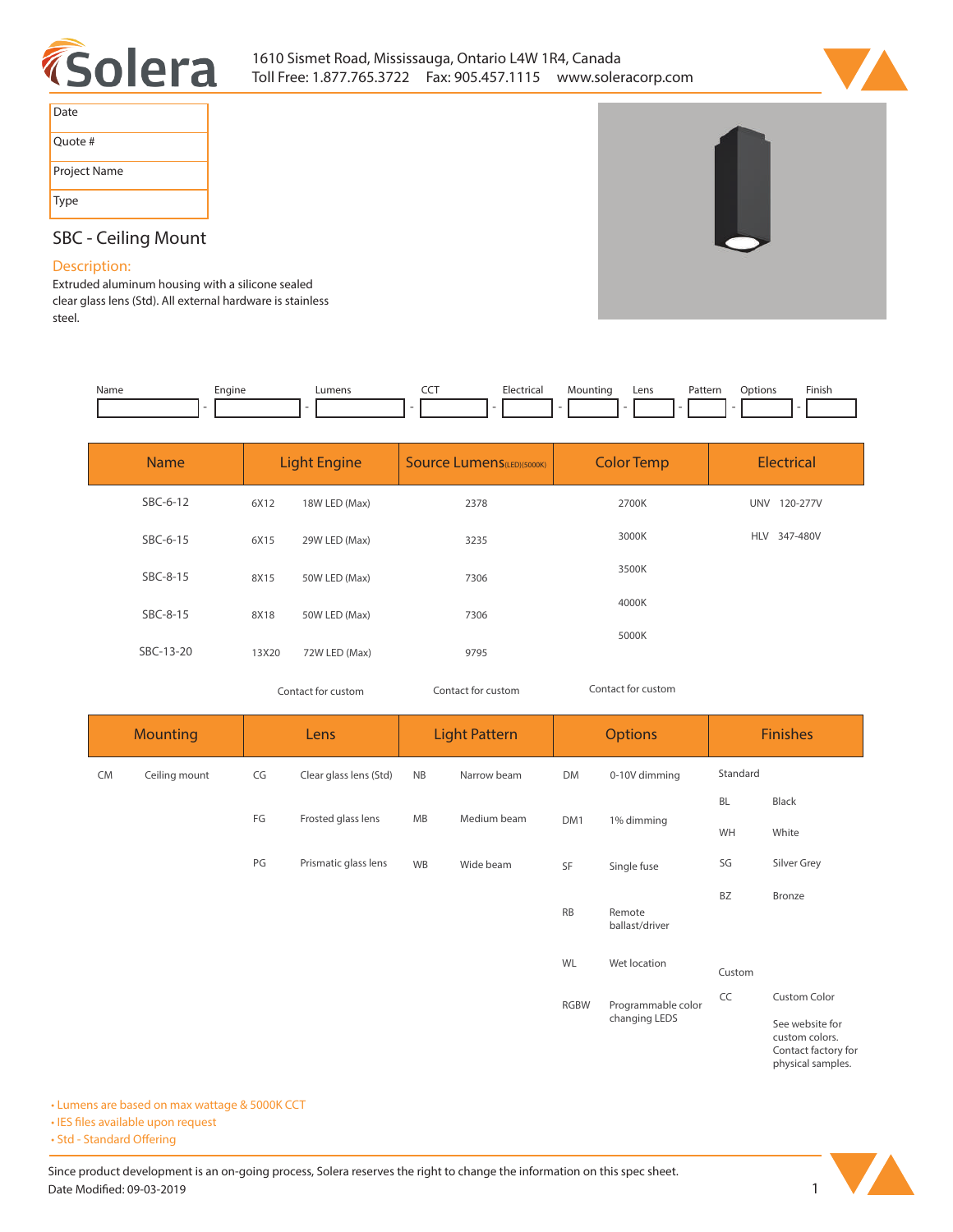



| Date         |
|--------------|
| Quote #      |
| Project Name |
| Type         |

# **SBC - Ceiling Mount**

## **Description:**

**Extruded aluminum housing with a silicone sealed clear glass lens (Std). All external hardware is stainless steel.** 

| Name | Engine | umen: | ---<br>$ -$ | Elect <sub>r</sub><br>. | untinc | Lens | Pattern<br>. | ptions | <b>Finish</b><br>the contract of the contract of the |
|------|--------|-------|-------------|-------------------------|--------|------|--------------|--------|------------------------------------------------------|
|      |        |       |             |                         |        |      |              |        |                                                      |

| <b>Name</b> |       | <b>Light Engine</b> | <b>Source Lumens</b> (LED)(5000K) | <b>Color Temp</b> | <b>Electrical</b>      |
|-------------|-------|---------------------|-----------------------------------|-------------------|------------------------|
| SBC-6-12    | 6X12  | 18W LED (Max)       | 2378                              | 2700K             | 120-277V<br>UNV        |
| SBC-6-15    | 6X15  | 29W LED (Max)       | 3235                              | 3000K             | <b>HLV</b><br>347-480V |
| SBC-8-15    | 8X15  | 50W LED (Max)       | 7306                              | 3500K             |                        |
| SBC-8-15    | 8X18  | 50W LED (Max)       | 7306                              | 4000K             |                        |
| SBC-13-20   | 13X20 | 72W LED (Max)       | 9795                              | 5000K             |                        |

*Contact for custom Contact for custom*

*Contact for custom*

**Mounting CM Ceiling mount Lens Light Pattern Options Finishes** CG Clear glass lens (Std) NB Narrow beam DM 0-10V dimming **DM1 1% dimming SF Single fuse BL Black WH White SG Silver Grey BZ Bronze FG Frosted glass lens PG Prismatic glass lens NB Narrow beam MB Medium beam WB Wide beam RB Remote ballast/driver WL Wet location CC Custom Color See website for custom colors. RGBW Programmable color changing LEDS Standard Custom**

**Contact factory for physical samples.** 

**• Lumens are based on max wattage & 5000K CCT**

**• IES files available upon request** 

• Std - Standard Offering

Since product development is an on-going process, Solera reserves the right to change the information on this spec sheet. Date Modified: 09-03-2019